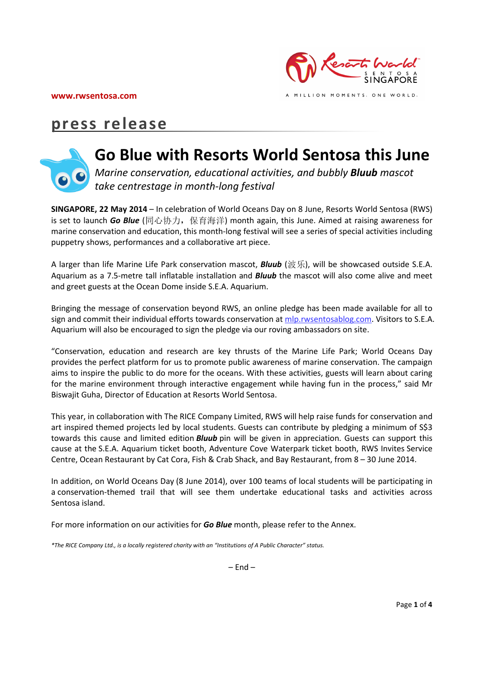



# press release



# Go Blue with Resorts World Sentosa this June

Marine conservation, educational activities, and bubbly Bluub mascot take centrestage in month-long festival

SINGAPORE, 22 May 2014 – In celebration of World Oceans Day on 8 June, Resorts World Sentosa (RWS) is set to launch Go Blue (同心协力, 保育海洋) month again, this June. Aimed at raising awareness for marine conservation and education, this month-long festival will see a series of special activities including puppetry shows, performances and a collaborative art piece.

A larger than life Marine Life Park conservation mascot, *Bluub* (波乐), will be showcased outside S.E.A. Aquarium as a 7.5-metre tall inflatable installation and *Bluub* the mascot will also come alive and meet and greet guests at the Ocean Dome inside S.E.A. Aquarium.

Bringing the message of conservation beyond RWS, an online pledge has been made available for all to sign and commit their individual efforts towards conservation at mlp.rwsentosablog.com. Visitors to S.E.A. Aquarium will also be encouraged to sign the pledge via our roving ambassadors on site.

"Conservation, education and research are key thrusts of the Marine Life Park; World Oceans Day provides the perfect platform for us to promote public awareness of marine conservation. The campaign aims to inspire the public to do more for the oceans. With these activities, guests will learn about caring for the marine environment through interactive engagement while having fun in the process," said Mr Biswajit Guha, Director of Education at Resorts World Sentosa.

This year, in collaboration with The RICE Company Limited, RWS will help raise funds for conservation and art inspired themed projects led by local students. Guests can contribute by pledging a minimum of S\$3 towards this cause and limited edition **Bluub** pin will be given in appreciation. Guests can support this cause at the S.E.A. Aquarium ticket booth, Adventure Cove Waterpark ticket booth, RWS Invites Service Centre, Ocean Restaurant by Cat Cora, Fish & Crab Shack, and Bay Restaurant, from 8 – 30 June 2014.

In addition, on World Oceans Day (8 June 2014), over 100 teams of local students will be participating in a conservation-themed trail that will see them undertake educational tasks and activities across Sentosa island.

For more information on our activities for Go Blue month, please refer to the Annex.

\*The RICE Company Ltd., is a locally registered charity with an "Institutions of A Public Character" status.

 $-$  End  $-$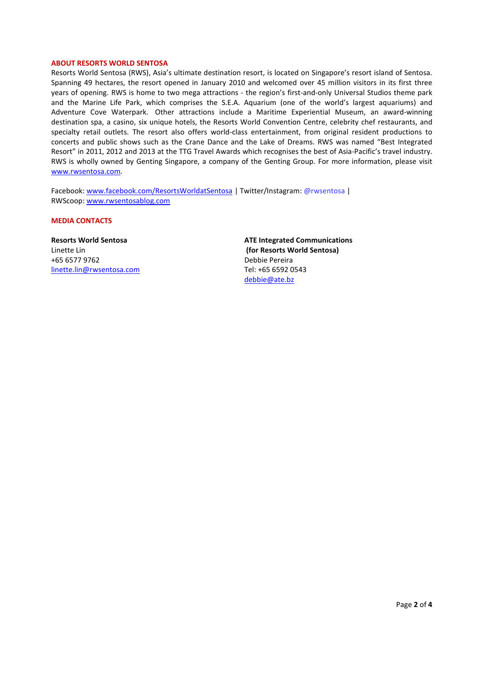#### ABOUT RESORTS WORLD SENTOSA

Resorts World Sentosa (RWS), Asia's ultimate destination resort, is located on Singapore's resort island of Sentosa. Spanning 49 hectares, the resort opened in January 2010 and welcomed over 45 million visitors in its first three years of opening. RWS is home to two mega attractions - the region's first-and-only Universal Studios theme park and the Marine Life Park, which comprises the S.E.A. Aquarium (one of the world's largest aquariums) and Adventure Cove Waterpark. Other attractions include a Maritime Experiential Museum, an award-winning destination spa, a casino, six unique hotels, the Resorts World Convention Centre, celebrity chef restaurants, and specialty retail outlets. The resort also offers world-class entertainment, from original resident productions to concerts and public shows such as the Crane Dance and the Lake of Dreams. RWS was named "Best Integrated Resort" in 2011, 2012 and 2013 at the TTG Travel Awards which recognises the best of Asia-Pacific's travel industry. RWS is wholly owned by Genting Singapore, a company of the Genting Group. For more information, please visit www.rwsentosa.com.

Facebook: www.facebook.com/ResortsWorldatSentosa | Twitter/Instagram: @rwsentosa | RWScoop: www.rwsentosablog.com

MEDIA CONTACTS

Resorts World Sentosa Linette Lin +65 6577 9762 linette.lin@rwsentosa.com ATE Integrated Communications (for Resorts World Sentosa) Debbie Pereira Tel: +65 6592 0543 debbie@ate.bz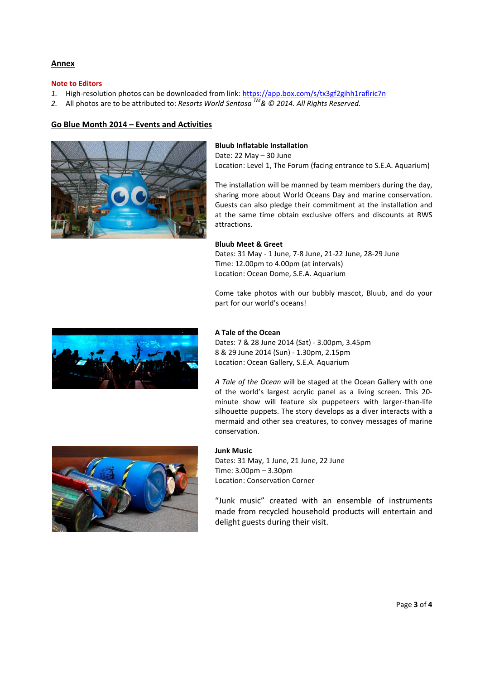# Annex

## Note to Editors

- 1. High-resolution photos can be downloaded from link: https://app.box.com/s/tx3gf2gihh1raflric7n
- 2. All photos are to be attributed to: Resorts World Sentosa  $^{TM}$ & © 2014. All Rights Reserved.

### Go Blue Month 2014 – Events and Activities



### Bluub Inflatable Installation

Date: 22 May – 30 June Location: Level 1, The Forum (facing entrance to S.E.A. Aquarium)

The installation will be manned by team members during the day, sharing more about World Oceans Day and marine conservation. Guests can also pledge their commitment at the installation and at the same time obtain exclusive offers and discounts at RWS attractions.

# Bluub Meet & Greet

Dates: 31 May - 1 June, 7-8 June, 21-22 June, 28-29 June Time: 12.00pm to 4.00pm (at intervals) Location: Ocean Dome, S.E.A. Aquarium

Come take photos with our bubbly mascot, Bluub, and do your part for our world's oceans!



### A Tale of the Ocean

Dates: 7 & 28 June 2014 (Sat) - 3.00pm, 3.45pm 8 & 29 June 2014 (Sun) - 1.30pm, 2.15pm Location: Ocean Gallery, S.E.A. Aquarium

A Tale of the Ocean will be staged at the Ocean Gallery with one of the world's largest acrylic panel as a living screen. This 20 minute show will feature six puppeteers with larger-than-life silhouette puppets. The story develops as a diver interacts with a mermaid and other sea creatures, to convey messages of marine conservation.



#### Junk Music

Dates: 31 May, 1 June, 21 June, 22 June Time: 3.00pm – 3.30pm Location: Conservation Corner

"Junk music" created with an ensemble of instruments made from recycled household products will entertain and delight guests during their visit.